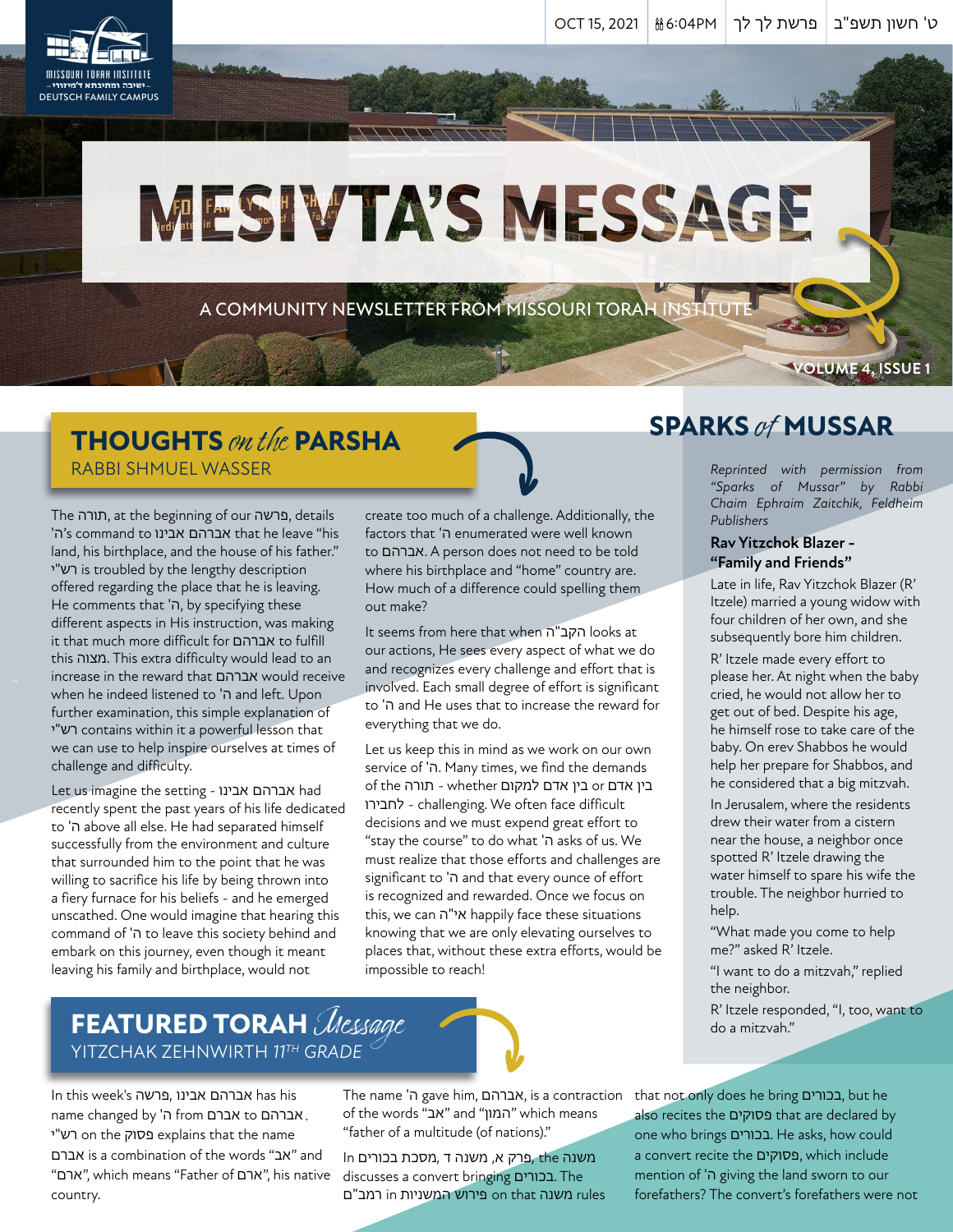# MESIVTA'S MESSAGE

A COMMUNITY NEWSLETTER FROM MISSOURI TORAH INSTITUTE

## **THOUGHTS** on the **PARSHA** RABBI SHMUEL WASSER

" increase in the reward that אברהם would receive The תורה, at the beginning of our פרשה, details 'ה's command to אבינו אברהם that he leave "his land, his birthplace, and the house of his father." י"רש is troubled by the lengthy description offered regarding the place that he is leaving. He comments that 'ה, by specifying these different aspects in His instruction, was making it that much more difficult for אברהם to fulfill this מצוה. This extra difficulty would lead to an when he indeed listened to 'ה and left. Upon further examination, this simple explanation of י"רש contains within it a powerful lesson that we can use to help inspire ourselves at times of challenge and difficulty.

Let us imagine the setting - אבינו אברהם had recently spent the past years of his life dedicated to 'ה above all else. He had separated himself successfully from the environment and culture that surrounded him to the point that he was willing to sacrifice his life by being thrown into a fiery furnace for his beliefs - and he emerged unscathed. One would imagine that hearing this command of 'ה to leave this society behind and embark on this journey, even though it meant leaving his family and birthplace, would not

create too much of a challenge. Additionally, the factors that 'ה enumerated were well known to אברהם. A person does not need to be told where his birthplace and "home" country are. How much of a difference could spelling them out make?

It seems from here that when ה"הקב looks at our actions, He sees every aspect of what we do and recognizes every challenge and effort that is involved. Each small degree of effort is significant to 'ה and He uses that to increase the reward for everything that we do.

Let us keep this in mind as we work on our own service of 'ה. Many times, we find the demands בין אדם or בין אדם למקום whether - תורה of the לחבירו - challenging. We often face difficult decisions and we must expend great effort to "stay the course" to do what 'ה asks of us. We must realize that those efforts and challenges are significant to 'ה and that every ounce of effort is recognized and rewarded. Once we focus on this, we can ה"אי happily face these situations knowing that we are only elevating ourselves to places that, without these extra efforts, would be impossible to reach!

## **SPARKS** of **MUSSAR**

*Reprinted with permission from "Sparks of Mussar" by Rabbi Chaim Ephraim Zaitchik, Feldheim Publishers*

**VOLUME 4, ISSUE 1**

#### **Rav Yitzchok Blazer - "Family and Friends"**

Late in life, Rav Yitzchok Blazer (R' Itzele) married a young widow with four children of her own, and she subsequently bore him children.

R' Itzele made every effort to please her. At night when the baby cried, he would not allow her to get out of bed. Despite his age, he himself rose to take care of the baby. On erev Shabbos he would help her prepare for Shabbos, and he considered that a big mitzvah.

In Jerusalem, where the residents drew their water from a cistern near the house, a neighbor once spotted R' Itzele drawing the water himself to spare his wife the trouble. The neighbor hurried to help.

"What made you come to help me?" asked R' Itzele.

"I want to do a mitzvah," replied the neighbor.

R' Itzele responded, "I, too, want to do a mitzvah."

## **FEATURED TORAH** Message YITZCHAK ZEHNWIRTH *11TH GRADE*

In this week's פרשה, אבינו אברהם has his name changed by 'ה from אברם to אברהם .י"רש on the פסוק explains that the name אברם is a combination of the words "אב "and "ארם", which means "Father of ארם", his native country.

The name 'ה gave him, אברהם, is a contraction of the words "אב" and "המון" which means "father of a multitude (of nations)."

משנה the ,פרק א, משנה ד ,מסכת בכורים In discusses a convert bringing בכורים. The rules משנה that on פירוש המשניות in רמב"ם that not only does he bring בכורים, but he also recites the פסוקים that are declared by one who brings בכורים. He asks, how could a convert recite the פסוקים, which include mention of 'ה giving the land sworn to our forefathers? The convert's forefathers were not